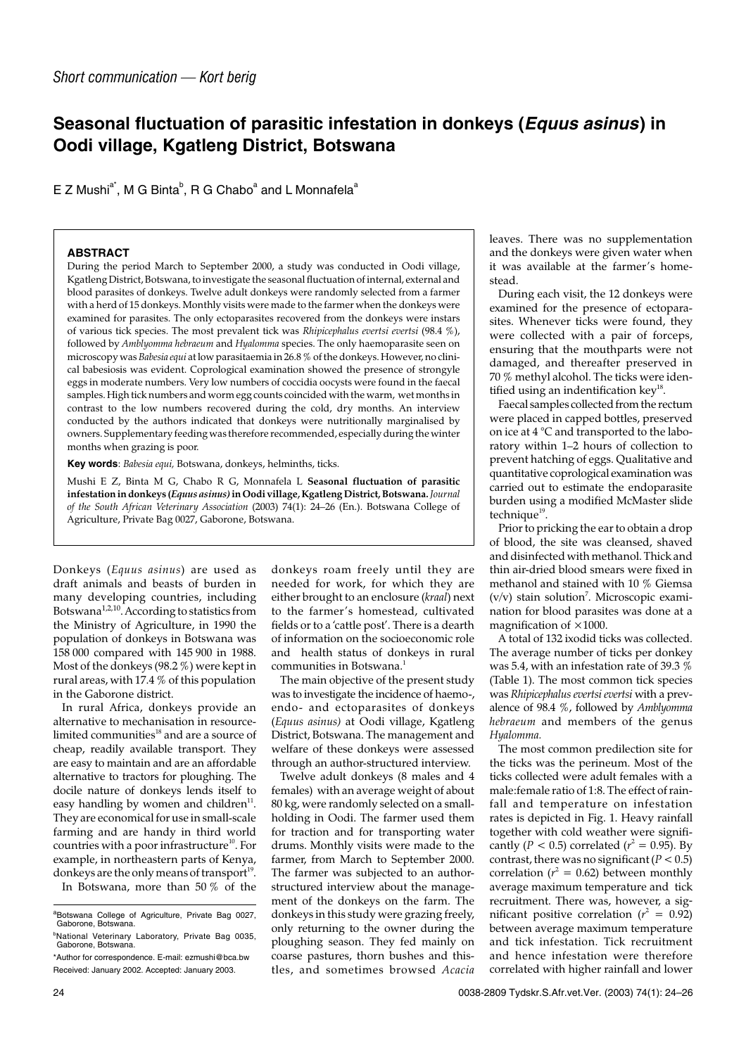## **Seasonal fluctuation of parasitic infestation in donkeys (Equus asinus) in Oodi village, Kgatleng District, Botswana**

E Z Mushi<sup>a\*</sup>, M G Binta<sup>b</sup>, R G Chabo<sup>a</sup> and L Monnafela<sup>a</sup>

## **ABSTRACT**

During the period March to September 2000, a study was conducted in Oodi village, Kgatleng District, Botswana, to investigate the seasonal fluctuation of internal, external and blood parasites of donkeys. Twelve adult donkeys were randomly selected from a farmer with a herd of 15 donkeys. Monthly visits were made to the farmer when the donkeys were examined for parasites. The only ectoparasites recovered from the donkeys were instars of various tick species. The most prevalent tick was *Rhipicephalus evertsi evertsi* (98.4 %), followed by *Amblyomma hebraeum* and *Hyalomma* species. The only haemoparasite seen on microscopy was *Babesia equi* at low parasitaemia in 26.8 % of the donkeys. However, no clinical babesiosis was evident. Coprological examination showed the presence of strongyle eggs in moderate numbers. Very low numbers of coccidia oocysts were found in the faecal samples. High tick numbers and worm egg counts coincided with the warm, wet months in contrast to the low numbers recovered during the cold, dry months. An interview conducted by the authors indicated that donkeys were nutritionally marginalised by owners. Supplementary feeding was therefore recommended, especially during the winter months when grazing is poor.

**Key words**: *Babesia equi,* Botswana, donkeys, helminths, ticks.

Mushi E Z, Binta M G, Chabo R G, Monnafela L **Seasonal fluctuation of parasitic infestation in donkeys (***Equus asinus)***in Oodi village, Kgatleng District, Botswana.***Journal of the South African Veterinary Association* (2003) 74(1): 24–26 (En.). Botswana College of Agriculture, Private Bag 0027, Gaborone, Botswana.

Donkeys (*Equus asinus*) are used as draft animals and beasts of burden in many developing countries, including Botswana<sup>1,2,10</sup>. According to statistics from the Ministry of Agriculture, in 1990 the population of donkeys in Botswana was 158 000 compared with 145 900 in 1988. Most of the donkeys (98.2 %) were kept in rural areas, with 17.4 % of this population in the Gaborone district.

In rural Africa, donkeys provide an alternative to mechanisation in resourcelimited communities $18$  and are a source of cheap, readily available transport. They are easy to maintain and are an affordable alternative to tractors for ploughing. The docile nature of donkeys lends itself to easy handling by women and children $11$ . They are economical for use in small-scale farming and are handy in third world countries with a poor infrastructure<sup>10</sup>. For example, in northeastern parts of Kenya, donkeys are the only means of transport<sup>19</sup>.

In Botswana, more than 50 % of the

donkeys roam freely until they are needed for work, for which they are either brought to an enclosure (*kraal*) next to the farmer's homestead, cultivated fields or to a 'cattle post'. There is a dearth of information on the socioeconomic role and health status of donkeys in rural communities in Botswana.<sup>1</sup>

The main objective of the present study was to investigate the incidence of haemo-, endo- and ectoparasites of donkeys (*Equus asinus)* at Oodi village, Kgatleng District, Botswana. The management and welfare of these donkeys were assessed through an author-structured interview.

Twelve adult donkeys (8 males and 4 females) with an average weight of about 80 kg, were randomly selected on a smallholding in Oodi. The farmer used them for traction and for transporting water drums. Monthly visits were made to the farmer, from March to September 2000. The farmer was subjected to an authorstructured interview about the management of the donkeys on the farm. The donkeys in this study were grazing freely, only returning to the owner during the ploughing season. They fed mainly on coarse pastures, thorn bushes and thistles, and sometimes browsed *Acacia*

leaves. There was no supplementation and the donkeys were given water when it was available at the farmer's homestead.

During each visit, the 12 donkeys were examined for the presence of ectoparasites. Whenever ticks were found, they were collected with a pair of forceps, ensuring that the mouthparts were not damaged, and thereafter preserved in 70 % methyl alcohol. The ticks were identified using an indentification  $key^{18}$ .

Faecal samples collected from the rectum were placed in capped bottles, preserved on ice at 4 °C and transported to the laboratory within 1–2 hours of collection to prevent hatching of eggs. Qualitative and quantitative coprological examination was carried out to estimate the endoparasite burden using a modified McMaster slide technique<sup>19</sup>.

Prior to pricking the ear to obtain a drop of blood, the site was cleansed, shaved and disinfected with methanol. Thick and thin air-dried blood smears were fixed in methanol and stained with 10 % Giemsa  $(v/v)$  stain solution<sup>7</sup>. Microscopic examination for blood parasites was done at a magnification of  $\times$ 1000.

A total of 132 ixodid ticks was collected. The average number of ticks per donkey was 5.4, with an infestation rate of 39.3 % (Table 1). The most common tick species was *Rhipicephalus evertsi evertsi* with a prevalence of 98.4 %, followed by *Amblyomma hebraeum* and members of the genus *Hyalomma.*

The most common predilection site for the ticks was the perineum. Most of the ticks collected were adult females with a male:female ratio of 1:8. The effect of rainfall and temperature on infestation rates is depicted in Fig. 1. Heavy rainfall together with cold weather were significantly (*P* < 0.5) correlated (*r*<sup>2</sup> = 0.95). By contrast, there was no significant  $(P < 0.5)$ correlation ( $r^2 = 0.62$ ) between monthly average maximum temperature and tick recruitment. There was, however, a significant positive correlation ( $r^2 = 0.92$ ) between average maximum temperature and tick infestation. Tick recruitment and hence infestation were therefore correlated with higher rainfall and lower

<sup>&</sup>lt;sup>a</sup>Botswana College of Agriculture, Private Bag 0027, Gaborone, Botswana.

<sup>&</sup>lt;sup>b</sup>National Veterinary Laboratory, Private Bag 0035, Gaborone, Botswana. \*Author for correspondence. E-mail: ezmushi@bca.bw

Received: January 2002. Accepted: January 2003.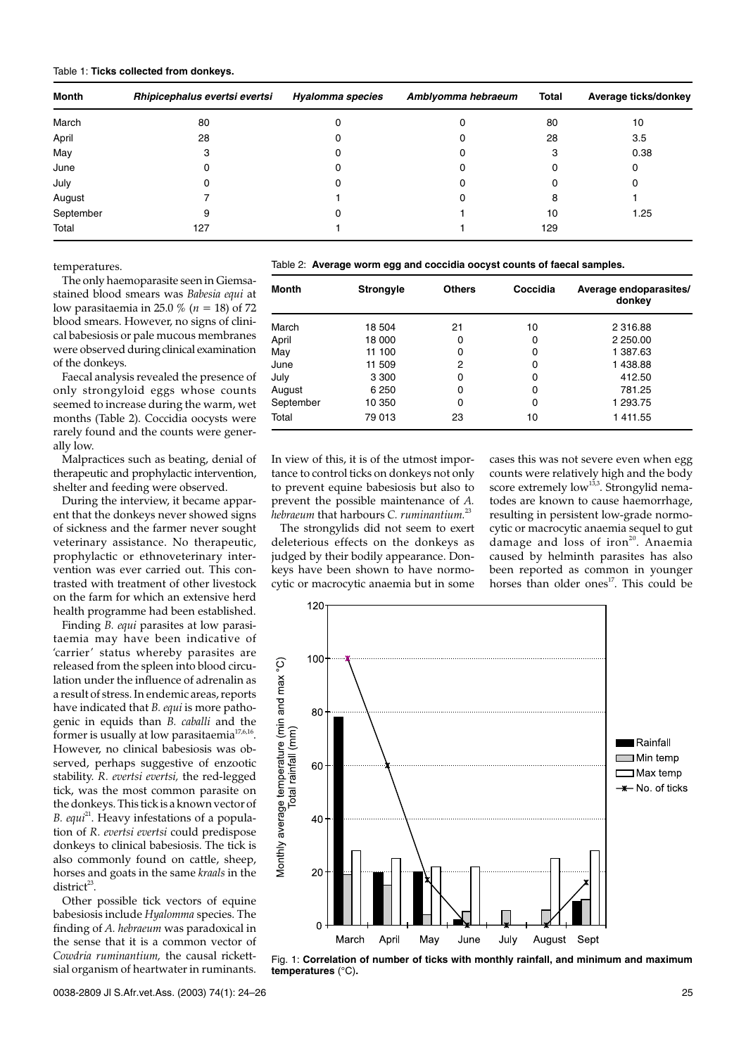| <b>Month</b> | Rhipicephalus evertsi evertsi | Hyalomma species | Amblyomma hebraeum | <b>Total</b> | Average ticks/donkey |
|--------------|-------------------------------|------------------|--------------------|--------------|----------------------|
| March        | 80                            |                  |                    | 80           | 10                   |
| April        | 28                            |                  |                    | 28           | 3.5                  |
| May          |                               |                  |                    | 3            | 0.38                 |
| June         |                               |                  |                    |              | 0                    |
| July         |                               |                  |                    |              |                      |
| August       |                               |                  |                    | 8            |                      |
| September    | 9                             |                  |                    | 10           | 1.25                 |
| Total        | 127                           |                  |                    | 129          |                      |

temperatures.

The only haemoparasite seen in Giemsastained blood smears was *Babesia equi* at low parasitaemia in 25.0 % (*n* = 18) of 72 blood smears. However, no signs of clinical babesiosis or pale mucous membranes were observed during clinical examination of the donkeys.

Faecal analysis revealed the presence of only strongyloid eggs whose counts seemed to increase during the warm, wet months (Table 2). Coccidia oocysts were rarely found and the counts were generally low.

Malpractices such as beating, denial of therapeutic and prophylactic intervention, shelter and feeding were observed.

During the interview, it became apparent that the donkeys never showed signs of sickness and the farmer never sought veterinary assistance. No therapeutic, prophylactic or ethnoveterinary intervention was ever carried out. This contrasted with treatment of other livestock on the farm for which an extensive herd health programme had been established.

Finding *B. equi* parasites at low parasitaemia may have been indicative of 'carrier' status whereby parasites are released from the spleen into blood circulation under the influence of adrenalin as a result of stress. In endemic areas, reports have indicated that *B. equi* is more pathogenic in equids than *B. caballi* and the former is usually at low parasitaemia<sup>17,6,16</sup>. However, no clinical babesiosis was observed, perhaps suggestive of enzootic stability. *R. evertsi evertsi,* the red-legged tick, was the most common parasite on the donkeys. This tick is a known vector of *B. equi*<sup>21</sup>. Heavy infestations of a population of *R. evertsi evertsi* could predispose donkeys to clinical babesiosis. The tick is also commonly found on cattle, sheep, horses and goats in the same *kraals* in the district<sup>23</sup>.

Other possible tick vectors of equine babesiosis include *Hyalomma* species. The finding of *A. hebraeum* was paradoxical in the sense that it is a common vector of *Cowdria ruminantium,* the causal rickettsial organism of heartwater in ruminants.

Table 2: **Average worm egg and coccidia oocyst counts of faecal samples.**

| <b>Month</b> | <b>Strongyle</b> | <b>Others</b> | Coccidia | Average endoparasites/<br>donkey |
|--------------|------------------|---------------|----------|----------------------------------|
| March        | 18 504           | 21            | 10       | 2 316.88                         |
| April        | 18 000           | 0             | 0        | 2 250.00                         |
| May          | 11 100           | 0             | 0        | 1 387.63                         |
| June         | 11 509           | 2             | 0        | 1438.88                          |
| July         | 3 3 0 0          | 0             | 0        | 412.50                           |
| August       | 6 2 5 0          | 0             | 0        | 781.25                           |
| September    | 10 350           | 0             | 0        | 1 293.75                         |
| Total        | 79 013           | 23            | 10       | 1411.55                          |

In view of this, it is of the utmost importance to control ticks on donkeys not only to prevent equine babesiosis but also to prevent the possible maintenance of *A. hebraeum* that harbours *C. ruminantium.*<sup>23</sup>

The strongylids did not seem to exert deleterious effects on the donkeys as judged by their bodily appearance. Donkeys have been shown to have normocytic or macrocytic anaemia but in some

cases this was not severe even when egg counts were relatively high and the body score extremely low<sup>13,3</sup>. Strongylid nematodes are known to cause haemorrhage, resulting in persistent low-grade normocytic or macrocytic anaemia sequel to gut damage and loss of iron<sup>20</sup>. Anaemia caused by helminth parasites has also been reported as common in younger horses than older ones<sup>17</sup>. This could be



Fig. 1: **Correlation of number of ticks with monthly rainfall, and minimum and maximum temperatures** (°C)**.**